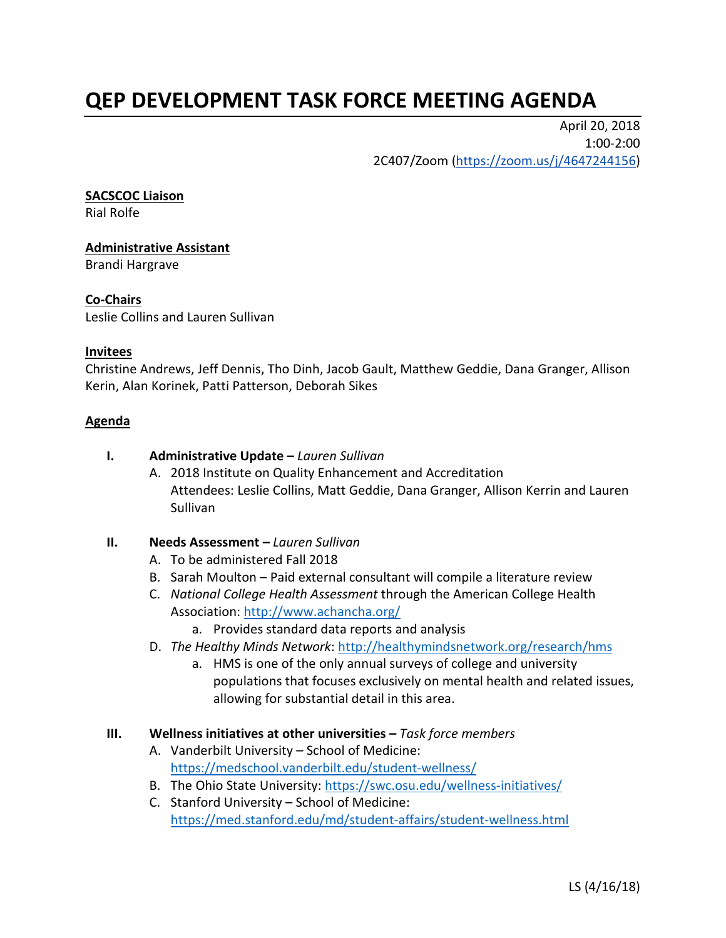# **QEP DEVELOPMENT TASK FORCE MEETING AGENDA**

April 20, 2018 1:00-2:00 2C407/Zoom [\(https://zoom.us/j/4647244156\)](https://zoom.us/j/4647244156)

#### **SACSCOC Liaison**

Rial Rolfe

## **Administrative Assistant**

Brandi Hargrave

## **Co-Chairs**

Leslie Collins and Lauren Sullivan

### **Invitees**

Christine Andrews, Jeff Dennis, Tho Dinh, Jacob Gault, Matthew Geddie, Dana Granger, Allison Kerin, Alan Korinek, Patti Patterson, Deborah Sikes

### **Agenda**

- **I. Administrative Update –** *Lauren Sullivan*
	- A. 2018 Institute on Quality Enhancement and Accreditation Attendees: Leslie Collins, Matt Geddie, Dana Granger, Allison Kerrin and Lauren Sullivan

### **II. Needs Assessment –** *Lauren Sullivan*

- A. To be administered Fall 2018
- B. Sarah Moulton Paid external consultant will compile a literature review
- C. *National College Health Assessment* through the American College Health Association:<http://www.achancha.org/>
	- a. Provides standard data reports and analysis
- D. *The Healthy Minds Network*:<http://healthymindsnetwork.org/research/hms>
	- a. HMS is one of the only annual surveys of college and university populations that focuses exclusively on mental health and related issues, allowing for substantial detail in this area.
- **III. Wellness initiatives at other universities –** *Task force members*
	- A. Vanderbilt University School of Medicine: <https://medschool.vanderbilt.edu/student-wellness/>
	- B. The Ohio State University:<https://swc.osu.edu/wellness-initiatives/>
	- C. Stanford University School of Medicine: <https://med.stanford.edu/md/student-affairs/student-wellness.html>